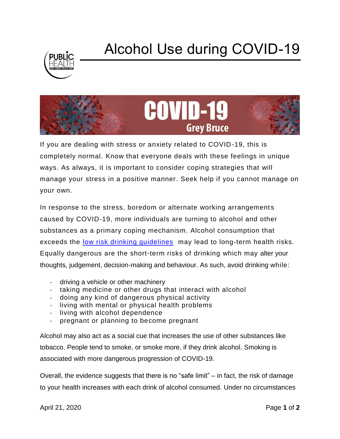

## Alcohol Use during COVID-19



If you are dealing with stress or anxiety related to COVID-19, this is completely normal. Know that everyone deals with these feelings in unique ways. As always, it is important to consider coping strategies that will manage your stress in a positive manner. Seek help if you cannot manage on your own.

In response to the stress, boredom or alternate working arrangements caused by COVID-19, more individuals are turning to alcohol and other substances as a primary coping mechanism. Alcohol consumption that exceeds the [low risk drinking guidelines](https://www.ccsa.ca/sites/default/files/2019-09/2012-Canada-Low-Risk-Alcohol-Drinking-Guidelines-Brochure-en.pdf) may lead to long-term health risks. Equally dangerous are the short-term risks of drinking which may alter your thoughts, judgement, decision-making and behaviour. As such, avoid drinking while:

- driving a vehicle or other machinery
- taking medicine or other drugs that interact with alcohol
- doing any kind of dangerous physical activity
- living with mental or physical health problems
- living with alcohol dependence
- pregnant or planning to become pregnant

Alcohol may also act as a social cue that increases the use of other substances like tobacco. People tend to smoke, or smoke more, if they drink alcohol. Smoking is associated with more dangerous progression of COVID-19.

Overall, the evidence suggests that there is no "safe limit" – in fact, the risk of damage to your health increases with each drink of alcohol consumed. Under no circumstances